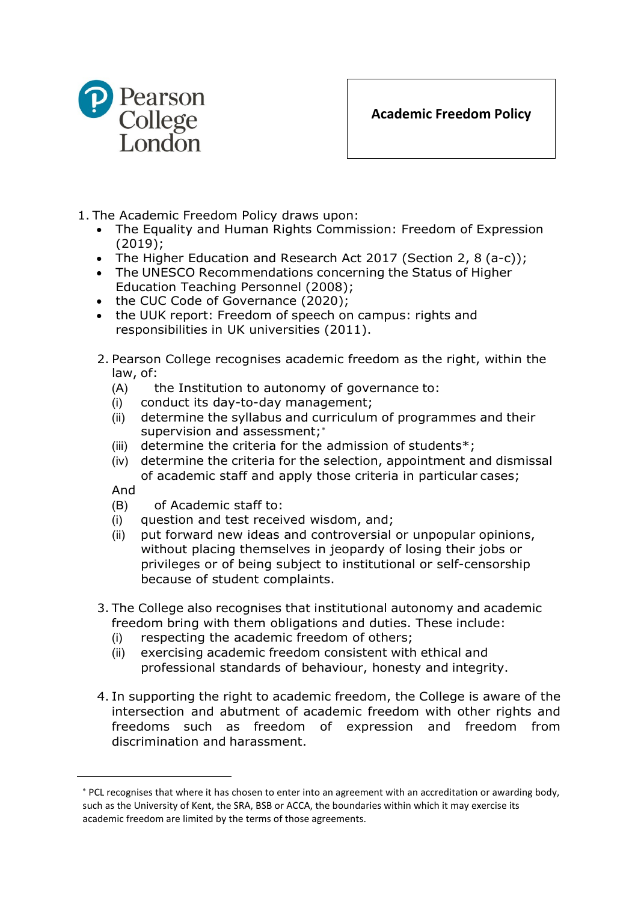

- 1. The Academic Freedom Policy draws upon:
	- The Equality and Human Rights Commission: Freedom of Expression (2019);
	- The Higher Education and Research Act 2017 (Section 2, 8 (a-c));
	- The UNESCO Recommendations concerning the Status of Higher Education Teaching Personnel (2008);
	- the CUC Code of Governance (2020);
	- the UUK report: Freedom of speech on campus: rights and responsibilities in UK universities (2011).
	- 2. Pearson College recognises academic freedom as the right, within the law, of:
		- (A) the Institution to autonomy of governance to:
		- (i) conduct its day-to-day management;
		- (ii) determine the syllabus and curriculum of programmes and their supervision and assessment;\*
		- (iii) determine the criteria for the admission of students $*$ ;
		- (iv) determine the criteria for the selection, appointment and dismissal of academic staff and apply those criteria in particular cases;

And

- (B) of Academic staff to:
- (i) question and test received wisdom, and;
- (ii) put forward new ideas and controversial or unpopular opinions, without placing themselves in jeopardy of losing their jobs or privileges or of being subject to institutional or self-censorship because of student complaints.
- 3. The College also recognises that institutional autonomy and academic freedom bring with them obligations and duties. These include:
	- (i) respecting the academic freedom of others;
	- (ii) exercising academic freedom consistent with ethical and professional standards of behaviour, honesty and integrity.
- 4. In supporting the right to academic freedom, the College is aware of the intersection and abutment of academic freedom with other rights and freedoms such as freedom of expression and freedom from discrimination and harassment.

<span id="page-0-0"></span><sup>∗</sup> PCL recognises that where it has chosen to enter into an agreement with an accreditation or awarding body, such as the University of Kent, the SRA, BSB or ACCA, the boundaries within which it may exercise its academic freedom are limited by the terms of those agreements.